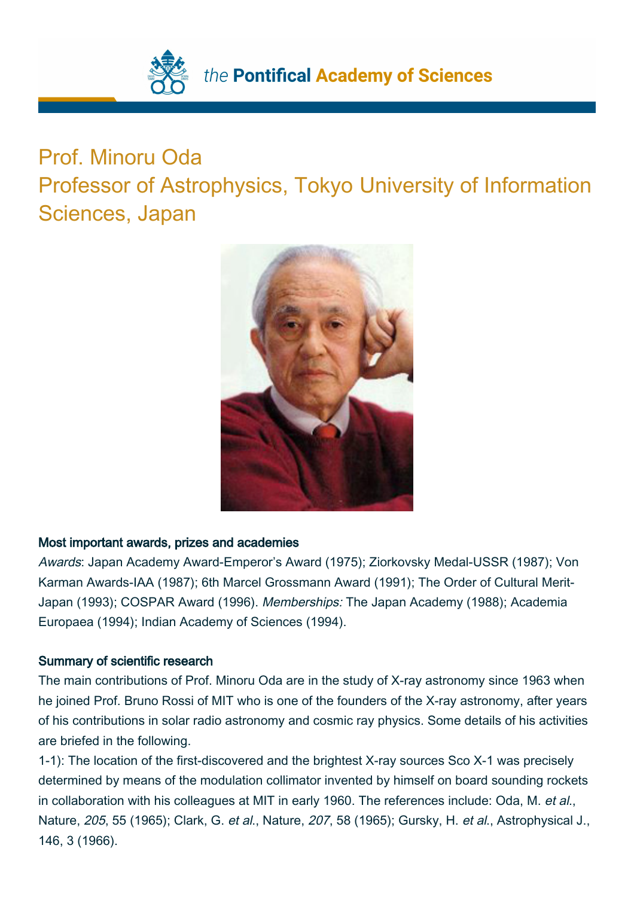

## Prof. Minoru Oda

Professor of Astrophysics, Tokyo University of Information Sciences, Japan



## Most important awards, prizes and academies

Awards: Japan Academy Award-Emperor's Award (1975); Ziorkovsky Medal-USSR (1987); Von Karman Awards-IAA (1987); 6th Marcel Grossmann Award (1991); The Order of Cultural Merit-Japan (1993); COSPAR Award (1996). Memberships: The Japan Academy (1988); Academia Europaea (1994); Indian Academy of Sciences (1994).

## Summary of scientific research

The main contributions of Prof. Minoru Oda are in the study of X-ray astronomy since 1963 when he joined Prof. Bruno Rossi of MIT who is one of the founders of the X-ray astronomy, after years of his contributions in solar radio astronomy and cosmic ray physics. Some details of his activities are briefed in the following.

1-1): The location of the first-discovered and the brightest X-ray sources Sco X-1 was precisely determined by means of the modulation collimator invented by himself on board sounding rockets in collaboration with his colleagues at MIT in early 1960. The references include: Oda, M. et al., Nature, 205, 55 (1965); Clark, G. et al., Nature, 207, 58 (1965); Gursky, H. et al., Astrophysical J., 146, 3 (1966).